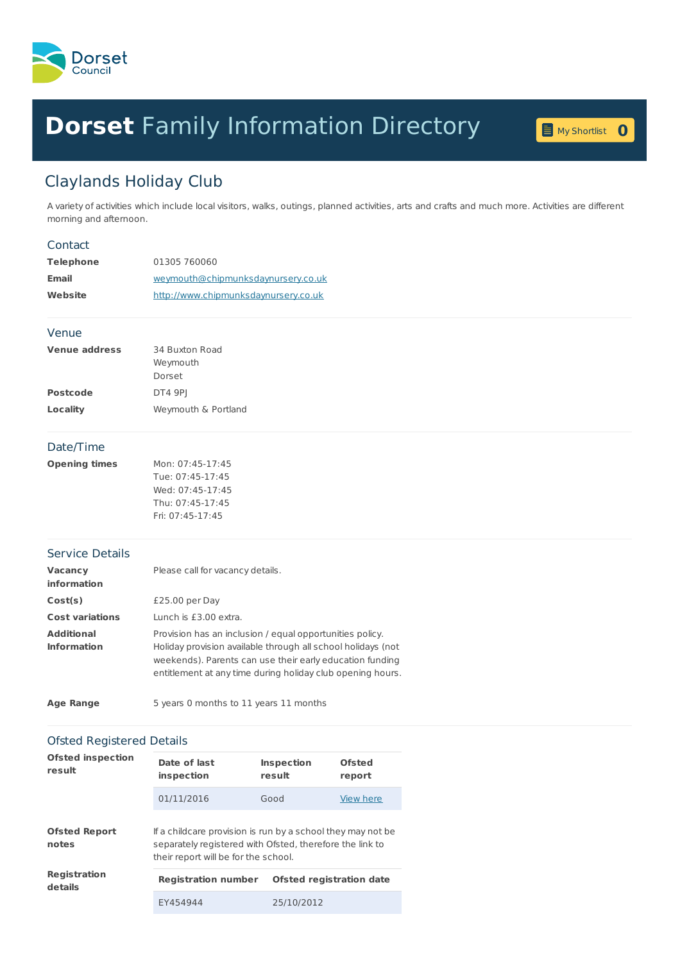

# **Dorset** Family [Information](home.page) Directory **<sup>0</sup>**



# Claylands Holiday Club

A variety of activities which include local visitors, walks, outings, planned activities, arts and crafts and much more. Activities are different morning and afternoon.

# Contact

| Telephone | 01305 760060                         |
|-----------|--------------------------------------|
| Email     | weymouth@chipmunksdaynursery.co.uk   |
| Website   | http://www.chipmunksdaynursery.co.uk |

#### Venue

| <b>Venue address</b> | 34 Buxton Road      |
|----------------------|---------------------|
|                      | Weymouth            |
|                      | Dorset              |
| <b>Postcode</b>      | DT4 9PI             |
| Locality             | Weymouth & Portland |

# Date/Time

| Opening times | Mon: 07:45-17:45   |
|---------------|--------------------|
|               | Tue: 07:45-17:45   |
|               | Wed: 07:45-17:45   |
|               | Thu: 07:45-17:45   |
|               | Fri: $07:45-17:45$ |

#### Service Details

| <b>Vacancy</b><br><b>information</b>    | Please call for vacancy details.                                                                                                                                                                                                                   |
|-----------------------------------------|----------------------------------------------------------------------------------------------------------------------------------------------------------------------------------------------------------------------------------------------------|
| Cost(s)                                 | $£25.00$ per Day                                                                                                                                                                                                                                   |
| <b>Cost variations</b>                  | Lunch is £3.00 extra.                                                                                                                                                                                                                              |
| <b>Additional</b><br><b>Information</b> | Provision has an inclusion / equal opportunities policy.<br>Holiday provision available through all school holidays (not<br>weekends). Parents can use their early education funding<br>entitlement at any time during holiday club opening hours. |

| <b>Age Range</b> | 5 years 0 months to 11 years 11 months |
|------------------|----------------------------------------|
|------------------|----------------------------------------|

# Ofsted Registered Details

| <b>Ofsted inspection</b><br>result | Date of last<br>inspection                                                                                                                                      | <b>Inspection</b><br>result     | Ofsted<br>report |
|------------------------------------|-----------------------------------------------------------------------------------------------------------------------------------------------------------------|---------------------------------|------------------|
|                                    | 01/11/2016                                                                                                                                                      | Good                            | View here        |
| <b>Ofsted Report</b><br>notes      | If a childcare provision is run by a school they may not be<br>separately registered with Ofsted, therefore the link to<br>their report will be for the school. |                                 |                  |
| <b>Registration</b><br>details     | <b>Registration number</b>                                                                                                                                      | <b>Ofsted registration date</b> |                  |
|                                    | FY454944                                                                                                                                                        | 25/10/2012                      |                  |